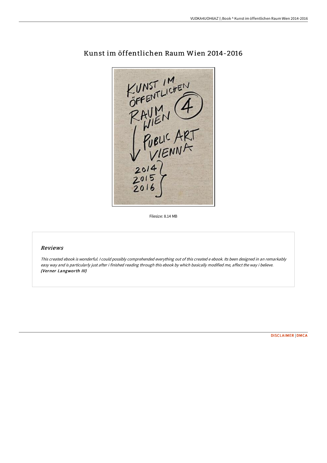

# Kunst im öffentlichen Raum Wien 2014-2016

Filesize: 8.14 MB

### Reviews

This created ebook is wonderful. <sup>I</sup> could possibly comprehended everything out of this created <sup>e</sup> ebook. Its been designed in an remarkably easy way and is particularly just after i finished reading through this ebook by which basically modified me, affect the way i believe. (Verner Langworth III)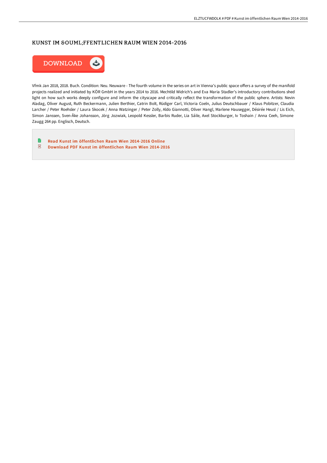# KUNST IM GOUML;FFENTLICHEN RAUM WIEN 2014-2016



Vfmk Jan 2018, 2018. Buch. Condition: Neu. Neuware - The fourth volume in the series on art in Vienna's public space offers a survey of the manifold projects realized and initiated by KÖR GmbH in the years 2014 to 2016. Mechtild Widrich's and Eva Maria Stadler's introductory contributions shed light on how such works deeply configure and inform the cityscape and critically reflect the transformation of the public sphere. Artists: Nevin Aladag, Oliver August, Ruth Beckermann, Julien Berthier, Catrin Bolt, Rüdiger Carl, Victoria Coeln, Julius Deutschbauer / Klaus Pobitzer, Claudia Larcher / Peter Roehsler / Laura Skocek / Anna Watzinger / Peter Zolly, Aldo Giannotti, Oliver Hangl, Marlene Hausegger, Désirée Heusl / Lis Eich, Simon Janssen, Sven-Åke Johansson, Jörg Jozwiak, Leopold Kessler, Barbis Ruder, Lia Sáile, Axel Stockburger, Iv Toshain / Anna Ceeh, Simone Zaugg 264 pp. Englisch, Deutsch.

 $\blacksquare$ Read Kunst im [öffentlichen](http://digilib.live/kunst-im-ouml-ffentlichen-raum-wien-2014-2016.html) Raum Wien 2014-2016 Online  $\overline{\mathbf{P}^{\mathbf{p}}}$ Download PDF Kunst im [öffentlichen](http://digilib.live/kunst-im-ouml-ffentlichen-raum-wien-2014-2016.html) Raum Wien 2014-2016